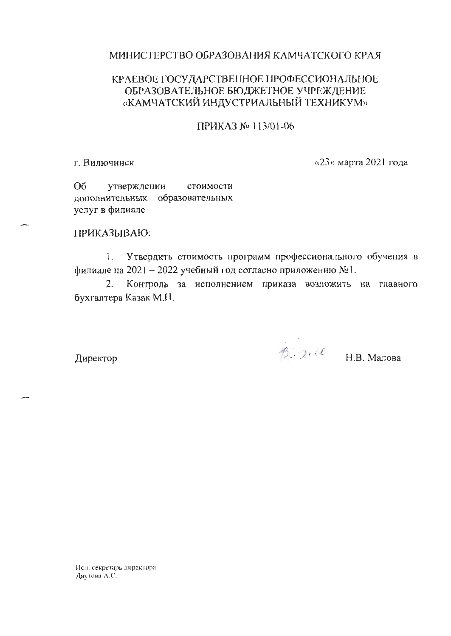## МИНИСТЕРСТВО ОБРАЗОВАНИЯ КАМЧАТСКОГО КРАЯ

## КРАЕВОЕ ГОСУДАРСТВЕННОЕ ПРОФЕССИОНАЛЬНОЕ ОБРАЗОВАТЕЛЬНОЕ БЮДЖЕТНОЕ УЧРЕЖДЕНИЕ «КАМЧАТСКИЙ ИНДУСТРИАЛЬНЫЙ ТЕХНИКУМ»

ПРИКАЗ № 113/01-06

г. Вилючинск

«23» марта 2021 года

O<sub>6</sub> утверждении стоимости образовательных дополнительных услуг в филиале

## ПРИКАЗЫВАЮ:

Утвердить стоимость программ профессионального обучения в  $\mathbf{L}$ филиале на 2021 - 2022 учебный год согласно приложению №1.

Контроль за исполнением приказа возложить на главного  $2.$ бухгалтера Казак М.Н.

Директор

 $\beta$  2.11 H.B. Manosa

Исп. секретарь директора Даутова А.С.